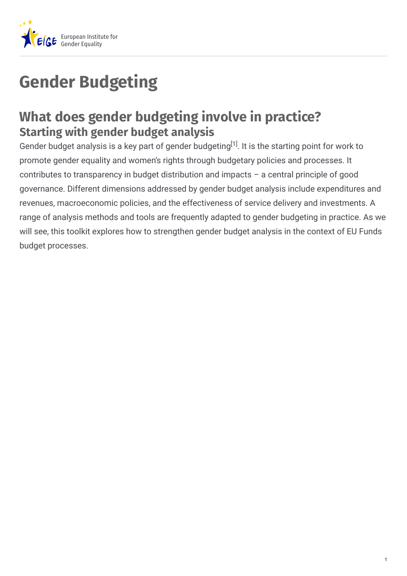

## **Gender Budgeting**

## **What does gender budgeting involve in practice? Starting with gender budget analysis**

Gender budget analysis is a key part of gender budgeting<sup>[1]</sup>. It is the starting point for work to promote gender equality and women's rights through budgetary policies and processes. It contributes to transparency in budget distribution and impacts – a central principle of good governance. Different dimensions addressed by gender budget analysis include expenditures and revenues, macroeconomic policies, and the effectiveness of service delivery and investments. A range of analysis methods and tools are frequently adapted to gender budgeting in practice. As we will see, this toolkit explores how to strengthen gender budget analysis in the context of EU Funds budget processes.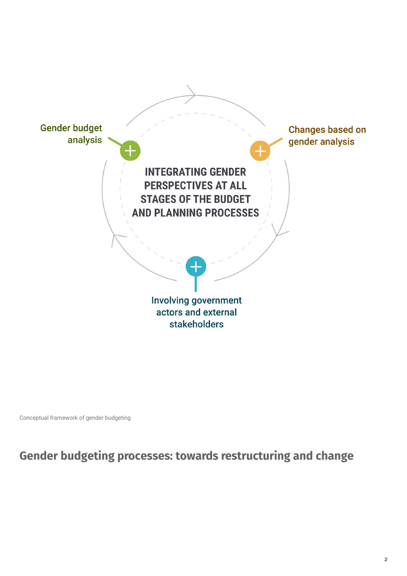

Conceptual framework of gender budgeting

**Gender budgeting processes: towards restructuring and change**